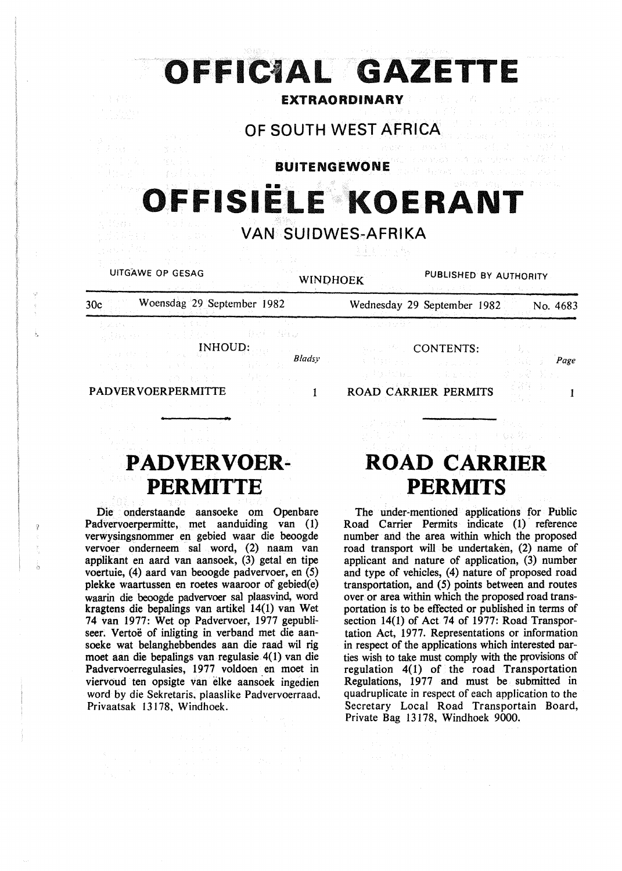|                  |                            | OFFICIAL GAZETTE          |                             |                        |          |
|------------------|----------------------------|---------------------------|-----------------------------|------------------------|----------|
| 生学品              |                            |                           | <b>EXTRAORDINARY</b>        |                        |          |
|                  |                            | OF SOUTH WEST AFRICA      |                             |                        |          |
|                  |                            | <b>BUITENGEWONE</b>       |                             |                        |          |
|                  |                            | OFFISIËLE KOERANT         |                             |                        |          |
|                  |                            | <b>VAN SUIDWES-AFRIKA</b> |                             |                        |          |
|                  |                            |                           |                             |                        |          |
| UITGAWE OP GESAG |                            | <b>WINDHOEK</b>           |                             | PUBLISHED BY AUTHORITY |          |
| 30c              | Woensdag 29 September 1982 |                           | Wednesday 29 September 1982 |                        | No. 4683 |
|                  |                            |                           |                             |                        |          |

# **PADVERVOER-PERMITTE**

Die onderstaande aansoeke om Openbare Padvervoerpermitte, met aanduiding van (1) verwysingsnommer en gebied waar die beoogde vervoer onderneem sal word, (2) naam van applikant en aard van aansoek, (3) getal en tipe voertuie, (4) aard van beoogde padvervoer, en (5) plekke waartussen en roetes waaroor of gebied(e) waarin die beoogde padvervoer sal plaasvind, word kragtens die bepalings van artikel 14(1) van Wet 74 van 1977: Wet op Padvervoer, 1977 gepubliseer. Vertoë of inligting in verband met die aansoeke wat belanghebbendes aan die raad wil rig moet aan die bepalings van regulasie 4(1) van die Padvervoerregulasies, 1977 voldoen en moet in viervoud ten opsigte van elke aansoek ingedien word by die Sekretaris, plaaslike Padvervoerraad, Privaatsak 13178, Windhoek.

# **ROAD CARRIER PERMITS**

The under-mentioned applications for Public Road Carrier Permits indicate (1) reference number and the area within which the proposed road transport will be undertaken, (2) name of applicant and nature of application, (3) number and type of vehicles, (4) nature of proposed road transportation, and (5) points between and routes over or area within which the proposed road transportation is to be effected or published in terms of section 14(1) of Act 74 of 1977: Road Transportation Act, 1977. Representations or information in respect of the applications which interested oarties wish to take must comply with the provisions of regulation  $4(1)$  of the road Transportation Regulations, 1977 and must be submitted in quadruplicate in respect of each application to the Secretary Local Road Transportain Board, Private Bag 13178, Windhoek 9000.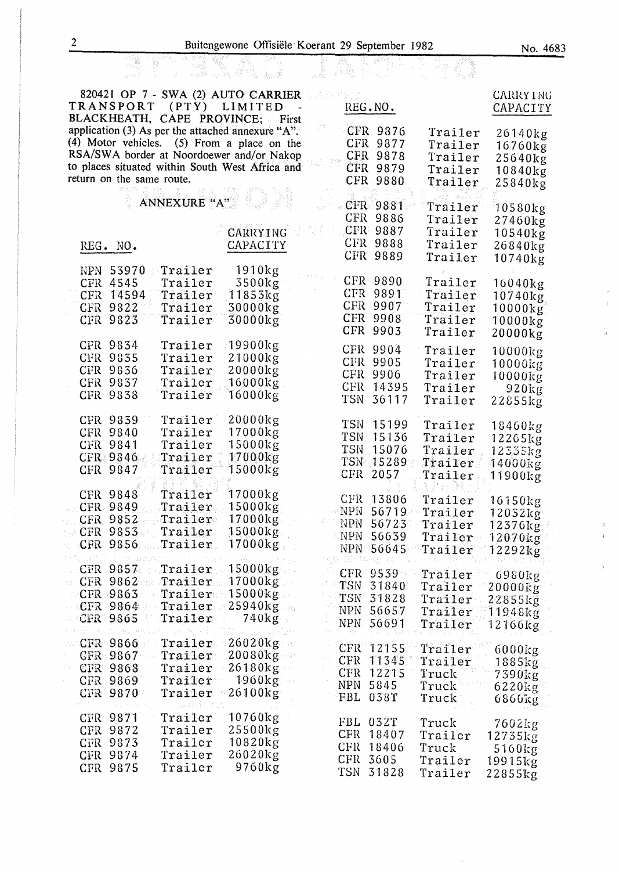$\overline{1}$ 

.)<br>V

ł

| $\overline{2}$      |                                             |                                                   | Buitengewone Offisiële Koerant 29 September 1982  |             |                        |                    | No. 4683                |
|---------------------|---------------------------------------------|---------------------------------------------------|---------------------------------------------------|-------------|------------------------|--------------------|-------------------------|
|                     |                                             | e alle von lat                                    |                                                   |             |                        |                    |                         |
|                     |                                             |                                                   | 820421 OP 7 - SWA (2) AUTO CARRIER                |             |                        |                    | <b>CARRY ING</b>        |
|                     | <b>TRANSPORT</b>                            |                                                   | (PTY) LIMITED<br>BLACKHEATH, CAPE PROVINCE; First |             | REG.NO.                |                    | CAPACITY                |
|                     |                                             |                                                   | application (3) As per the attached annexure "A". |             | CFR 9876               | Trailer            | 26140kg                 |
|                     |                                             |                                                   | $(4)$ Motor vehicles. $(5)$ From a place on the   |             | CFR 9877               | Trailer            | 16760kg                 |
|                     |                                             |                                                   | RSA/SWA border at Noordoewer and/or Nakop         |             | CFR 9878               | Trailer            | 25640kg                 |
|                     | return on the same route.                   |                                                   | to places situated within South West Africa and   |             | CFR 9879<br>CFR 9880   | Trailer<br>Trailer | 10840kg                 |
|                     |                                             |                                                   |                                                   |             |                        |                    | 25840kg                 |
|                     |                                             | <b>ANNEXURE "A"</b>                               |                                                   |             | $-CFR$ 9881            | Trailer            | 10580kg                 |
|                     |                                             |                                                   |                                                   |             | CFR 9886               | Trailer            | 27460kg                 |
|                     |                                             |                                                   | CARRYING                                          |             | CFR 9887               | Trailer            | 10540kg                 |
|                     | REG. NO.                                    |                                                   | CAPACITY                                          |             | CFR 9888<br>CFR 9889   | Trailer<br>Trailer | 26840kg                 |
|                     | NPN 53970                                   | Trailer                                           | 1910kg                                            |             |                        |                    | 10740kg                 |
|                     | CFR 4545                                    | Trailer                                           | 3500kg                                            |             | CFR 9890               | Trailer            | 16040kg                 |
|                     | CFR 14594                                   | Trailer                                           | 11853kg                                           |             | CFR 9891               | Trailer            | 10740kg                 |
|                     | CFR 9822                                    | Trailer                                           | 30000kg                                           |             | CFR 9907               | Trailer            | 10000kg                 |
|                     | CFR 9823                                    | Trailer                                           | $30000$ kg                                        |             | CFR 9908<br>CFR 9903   | Trailer<br>Trailer | 10000kg                 |
|                     | CFR 9834                                    | Trailer                                           | 19900kg                                           |             |                        |                    | 20000kg                 |
|                     | CFR 9835                                    | Trailer                                           | 21000kg                                           |             | CFR 9904<br>CFR 9905   | Trailer<br>Trailer | 10000kg                 |
|                     | CFR 9836                                    | Trailer                                           | $20000$ kg                                        |             | CFR 9906               | Trailer            | $10000$ $kg$<br>10000kg |
|                     | CFR 9837                                    | Trailer                                           | 16000kg                                           |             | CFR 14395              | Trailer            | $920$ kg                |
|                     | CFR 9838                                    | Trailer                                           | 16000kg                                           | <b>TSN</b>  | 36117                  | Trailer            | 22855kg                 |
|                     | CFR 9839                                    | Trailer                                           | $20000$ kg                                        | <b>TSN</b>  | 15199                  | Trailer            |                         |
|                     | <b>CFR 9840</b>                             | Trailer                                           | 17000kg                                           | <b>TSN</b>  | 15136                  | Trailer            | 18460kg<br>12265kg      |
|                     | CFR 9841                                    | Trailer                                           | 15000kg                                           | <b>TSN</b>  | 15076                  | Trailer            | 12335kg                 |
|                     | <b>CFR 9846</b><br>CFR 9847                 | Trailer<br>Trailer                                | 17000kg<br>$15000$ $kg$                           |             | TSN 15289              | Trailer            | 14000kg                 |
|                     |                                             |                                                   |                                                   |             | CFR 2057               | Trailer            | 11900kg                 |
|                     | CFR 9848                                    | Trailer                                           | 17000kg                                           |             | CFR 13806              | Trai1er            | 16150kg                 |
|                     | CFR 9849                                    | Trailer                                           | 15000kg                                           |             | <b>NPN 56719</b>       | Trailer            | 12032kg                 |
|                     | CFR 9852<br>CFR 9853                        | $_1$ Trailer<br>Trailer                           | 17000kg<br>$15000$ kg                             | NPN         | 56723                  | Trailer            | 12376kg                 |
|                     |                                             | CFR 9856 Trailer                                  | $17000$ kg                                        |             | NPN 56639<br>NPN 56645 | Trailer            | 12070kg                 |
| PANDHEE (S.F. 1871) |                                             |                                                   | 1748 491 503                                      | 432 ILD 385 | 95                     | Trailer            | $12292$ kg              |
|                     |                                             | $CFR \sim 9857$ Trailer                           | $15000$ kg                                        |             | CFR 9539               | Trailer            | $6980$ kg               |
| 522.0               |                                             | CFR 9862 Trailer<br>$CFR.9863$ $Trailer.15000kg.$ | $17000$ $kg$                                      |             | TSN 31840              | Trailer            | 20000kg                 |
|                     |                                             | $CFR \cdot 9864$ Trailer                          | 25940kg                                           |             | TSN 31828              | Trailer            | 22855kg                 |
|                     | CFR 9865                                    | $\bm{\texttt{Train}}$                             | 740kg                                             | NPN -       | NPN 56657<br>56691     | Trailer<br>Trailer | 11948kg                 |
|                     | 线 特别在对话的 通信 网络的复数形式 "我                      |                                                   | $(3.52 - 43.3143)$                                |             |                        |                    | 12166kg                 |
|                     | $\sim$ CFR $\sim$ 9866 $\sim$<br>$CFR$ 9867 | Trailer<br>Trailer                                | $26020$ kg $\sim$<br>20080kg                      |             | CFR 12155              | Trailer            | 6000kg                  |
|                     | CFR 9868                                    | Trailer                                           | 26180kg                                           |             | CFR 11345              | Trailer            | 1885kg                  |
|                     | $CFR = 9869$                                | Trailer                                           | $-1960\mathrm{kg}$ –                              |             | CFR 12215<br>NPN 5845  | Truck              | 7390kg                  |
|                     | CFR 9870                                    | Trailer                                           | $26100$ kg                                        |             | FBL 038T               | Truck<br>Truck     | 6220kg<br>6860kg        |
|                     | CFR 9871                                    | 电磁电路<br>Trailer                                   | $10760$ kg                                        |             |                        |                    |                         |
|                     | CFR 9872                                    | Trailer                                           | 25500kg                                           |             | FBL 032T               | Truck              | 7602kg                  |
|                     | CFR 9873                                    | Trailer                                           | 10820kg                                           |             | CFR 18407<br>CFR 18406 | Trailer<br>Truck   | 12735kg                 |
|                     | CFR 9874                                    | Trailer                                           | 26020kg                                           |             | CFR 3605               | Trailer            | 5160kg<br>19915kg       |
|                     | CFR 9875                                    | Trailer                                           | 9760kg                                            |             | TSN 31828              | Trailer            | 22855kg                 |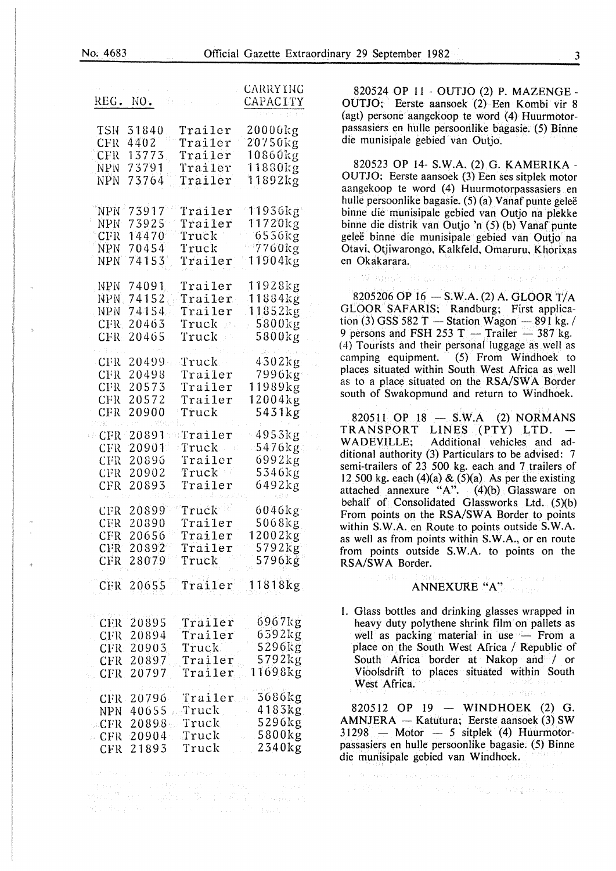| REG. NO.                                             |                                              | ŤF,                                                                                                           | <b>CARRY ING</b><br>CAPACITY                     |
|------------------------------------------------------|----------------------------------------------|---------------------------------------------------------------------------------------------------------------|--------------------------------------------------|
| TSN                                                  | 31840                                        | Trailer                                                                                                       | 20000kg                                          |
| CFR                                                  | 4402                                         | Trailer                                                                                                       | 20750kg                                          |
| CFR                                                  | 13773                                        | Trailer                                                                                                       | 10860ևց                                          |
| <b>NPN</b>                                           | 73791                                        | $\mathtt{Train}$                                                                                              | 11880kg                                          |
| NPN                                                  | 73764                                        | Trailer                                                                                                       | 11892kg                                          |
| <b>NPN</b>                                           | 73917                                        | Trailer                                                                                                       | $11936$ kg                                       |
| <b>NPN</b>                                           | 73925                                        | Trailer                                                                                                       | 11720kg                                          |
| CFR                                                  | 14470                                        | Truck                                                                                                         | 6556kg                                           |
| <b>NPN</b>                                           | 70454                                        | Truck                                                                                                         | $-7760$ kg                                       |
| <b>NPN</b>                                           | 74153                                        | Trailer                                                                                                       | 11904kg                                          |
| <b>NPN</b>                                           | 74091                                        | Trailer                                                                                                       | 11928kg                                          |
| NPN                                                  | 74152                                        | Trailer                                                                                                       | 11884kg                                          |
| NPN                                                  | 74154                                        | Trailer                                                                                                       | 11852kg                                          |
| CFR                                                  | 20463                                        | $\mathtt{Truck}$ .                                                                                            | 5800kg                                           |
| CFR                                                  | 20465                                        | Truck                                                                                                         | 5800kg                                           |
| CFR<br><b>CFR</b><br>CFR<br>CFR<br>$\rm CFR$<br>an i | 20499<br>20498<br>20573<br>20572<br>20900    | $\operatorname{Truck}$ .<br>Trailer<br>Trailer<br>Trailer<br>Truck                                            | 4302kg<br>7996kg<br>11989kg<br>12004kg<br>5431kg |
| CFR                                                  | 20891                                        | $\lq$ Trai $1$ er                                                                                             | 4953kg                                           |
| CFR                                                  | 20901                                        | $\operatorname{Truck}$                                                                                        | 5476kg                                           |
| CFR                                                  | 20896                                        | Trailer                                                                                                       | 6992kg                                           |
| CFR                                                  | 20902                                        | Truck                                                                                                         | 5346kg                                           |
| CFR                                                  | 20893                                        | Trailer                                                                                                       | 6492kg                                           |
| CFR                                                  | 20899                                        | Truck                                                                                                         | 6046kg                                           |
| CFR                                                  | 20890                                        | Trailer                                                                                                       | 5068kg                                           |
| CFR                                                  | 20656                                        | Trailer                                                                                                       | 12002kg                                          |
| CFR                                                  | 20892                                        | Trailer                                                                                                       | 5792kg                                           |
| CFR                                                  | 28079                                        | Truck                                                                                                         | 5796kg                                           |
|                                                      | CFR 20655                                    | Trailer                                                                                                       | $11818$ kg                                       |
| CFR                                                  | CER 20895                                    | Trailer                                                                                                       | 6967kg                                           |
|                                                      | CFR 20894                                    | Trailer                                                                                                       | 6392kg                                           |
|                                                      | CFR 20903                                    | Truck                                                                                                         | 5296kg                                           |
|                                                      | CFR 20897                                    | Trailer                                                                                                       | 5792kg                                           |
|                                                      | 20797                                        | Trailer                                                                                                       | 11698kg                                          |
| $-$ CFR<br>CFR                                       | NPN 40655<br>CFR 20898<br>$20904 -$<br>21893 | CFR 20796 Trailer 3686kg<br>$_{\rm{c}}$ Truck $_{\rm{c}}$<br>Truck<br>$\mathbb{T}$ ruck $\mathbb{T}$<br>Truck | 4183kg<br>5296kg<br>$-5800$ kg<br>$2340$ kg      |
|                                                      |                                              |                                                                                                               |                                                  |

me day for the same states of part

820524 OP 11 - OUTJO (2) P. MAZENGE - OUTJO; Eerste aansoek (2) Een Kombi vir 8 (agt) persone aangekoop te word (4) Huurmotorpassasiers en hulle persoonlike bagasie. (5) Binne die munisipale gebied van Outjo.

820523 OP 14- S.W.A. (2) G. KAMERIKA-OUTJO: Eerste aansoek (3) Een ses sitplek motor aangekoop te word (4) Huurmotorpassasiers en hulle persoonlike bagasie. (5) (a) Vanaf punte geleë binne die munisipale gebied van Outjo na plekke binne die distrik van Outjo 'n (5) (b) Vanaf punte geleë binne die munisipale gebied van Outjo na Otavi, Otjiwarongo, Kalkfeld, Omaruru, Khorixas en Okakarara. .<br>Personal and the assignment of the

.<br>Programa di Milita Alexandr

8205206 OP 16 $-$  S.W.A. (2) A. GLOOR T/A GLOOR SAFARIS; Randburg; First application (3) GSS 582 T  $-$  Station Wagon  $-$  891 kg. / 9 persons and FSH 253 T  $-$  Trailer  $-$  387 kg. *(* 4) Tourists and their personal luggage as well as camping equipment. (5) From Windhoek to places situated within South West Africa as well as to a place situated on the RSA/SW A Border south of Swakopmund and return to Windhoek.

Si temat

820511 OP  $18 - SM.A$  (2) NORMANS TRANSPORT LINES (PTY) LTD.<br>WADEVILLE: Additional vehicles and Additional vehicles and additional authority (3) Particulars to be advised: 7 semi-trailers of 23 500 kg. each and 7 trailers of 12 500 kg. each  $(4)(a) \& (5)(a)$  As per the existing attached annexure "A". (4)(b) Glassware on behalf of Consolidated Glassworks Ltd. (5)(b) From points on the RSA/SWA Border to points within S.W.A. en Route to points outside S.W.A. as well as from points within S.W.A., or en route from points outside S.W.A. to points on the RSA/SWA Border.

# ANNEXURE "A"

1. Glass bottles and drinking glasses wrapped in heavy duty polythene shrink film on pallets as well as packing material in use  $-$  From a place on the South West Africa / Republic of South Africa border at Nakop and / or Vioolsdrift to places situated within South West Africa.

820512 OP 19 - WINDHOEK  $(2)$  G.  $AMNIERA - Katutura$ ; Eerste aansoek (3) SW  $31298$  - Motor - 5 sitplek (4) Huurmotorpassasiers en hulle persoonlike bagasie. (5) Binne die munisipale gebied van Windhoek.

未增益之一,而不可以通过的健康的特征,如此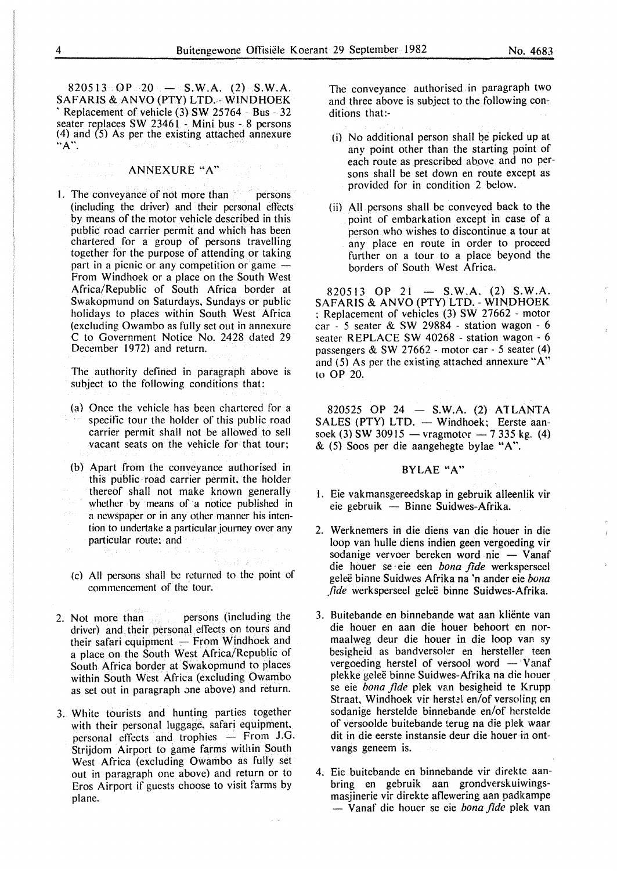$820513 \times \text{OP} \times 20 = -\text{S.W.A.}$  (2) S.W.A. SAFARIS &.ANVO (PTY) LTD.- WINDHOEK ' Replacement of vehicle (3) SW 25764 - Bus - 32 seater replaces SW 23461 - Mini bus  $-8$  persons (4) and (5) As per the existing attached annexure  $"A"$ .

## ANNEXURE "A"

1. The conveyance of not more than persons (including the driver) and their personal effects by means of the motor vehicle described in this public road carrier permit and which has been chartered for a group of persons travelling together for the purpose of attending or taking part in a picnic or any competition or game  $-$ From Windhoek or a place on the South West Africa/Republic of South Africa border at Swakopmund on Saturdays, Sundays or public holidays to places within South West Africa (excluding Owambo as fully set out in annexure C to Government Notice No. 2428 dated 29 December 1972) and return.

The authority defined in paragraph above is subject to the following conditions that:

- (a) Once the vehicle has been chartered for a specific tour the holder of this public road carrier permit shall not be allowed to sell vacant seats on the vehicle for that tour:
- (b) Apart from the conveyance authorised in this public road carrier permit, the holder thereof shall not make known generally whether by means of a notice published in a newspaper or in any other manner his intention to undertake a particular journey over any particular route: and
- (c) All persons shall be returned to the point of commencement of the tour.
- 2. Not more than persons (including the driver) and their personal effects on tours and their safari equipment  $-$  From Windhoek and a place on the South West Africa/Republic of South Africa border at Swakopmund to places within South West Africa (excluding Owambo as set out in paragraph one above) and return.
- 3. White tourists and hunting parties together with their personal luggage, safari equipment, personal effects and trophies - From J.G. Strijdom Airport to game farms within South West Africa (excluding Owambo as fully set out in paragraph one above) and return or to Eros Airport if guests choose to visit farms by plane.

The conveyance authorised in paragraph two and three above is subject to the following conditions that:-

- (i) No additional person shall be picked up at any point other than the starting point of each route as prescribed above and no persons shall be set down en route except as provided for in condition 2 below.
- (ii) All persons shall be conveyed back to the point of embarkation except in case of a person who wishes to discontinue a tour at any place en route in order to proceed further on a tour to a place beyond the borders of South West Africa.

820513 OP 21 - S.W.A.  $(2)$  S.W.A. SAFARIS & ANVO (PTY) LTD.- WINDHOEK : Replacement of vehicles (3) SW 27662 - motor car - *5* seater & SW 29884 - station wagon - 6 seater REPLACE SW 40268 - station wagon - 6 passengers & SW 27662- motor car- *5* seater (4) and (5) As per the existing attached annexure "A" to OP 20.

820525 OP 24  $-$  S.W.A. (2) ATLANTA  $SALES$  (PTY) LTD.  $-$  Windhoek: Eerste aansoek (3) SW 30915 - vragmotor  $-7$  335 kg. (4) & (5) Soos per die aangehegte bylae "A''.

### BYLAE "A"

- I. Eie vakmansgereedskap in gebruik alleenlik vir  $e$ ie gebruik  $-$  Binne Suidwes-Afrika.
- 2. Werknemers in die diens van die houer in die loop van hulle diens indien geen vergoeding vir sodanige vervoer bereken word nie  $-$  Vanaf die houer se · eie een *bona fide* werksperseel gelee binne Suidwes Afrika na 'n ander eie *bona fide* werksperseel geleë binne Suidwes-Afrika.
- 3. Buitebande en binnebande wat aan kliente van die houer en aan die houer behoort en normaalweg deur die houer in die loop van sy besigheid as bandversoler en hersteller teen vergoeding herstel of versool word  $-$  Vanaf plekke gelee binne Suidwes-Afrika na die houer se eie *bona fide* plek van besigheid te Krupp Straat, Windhoek vir herstel en/of versoling en sodanige herstelde binnebande en/of herstelde of versoolde buitebande terug na die plek waar dit in die eerste instansie deur die houer in ontvangs geneem is.
- 4. Eie buitebande en binnebande vir direkte aanbring en gebruik aan grondverskuiwingsmasjinerie vir direkte aflewering aan padkampe - Vanaf die houer se eie *bona fide* plek van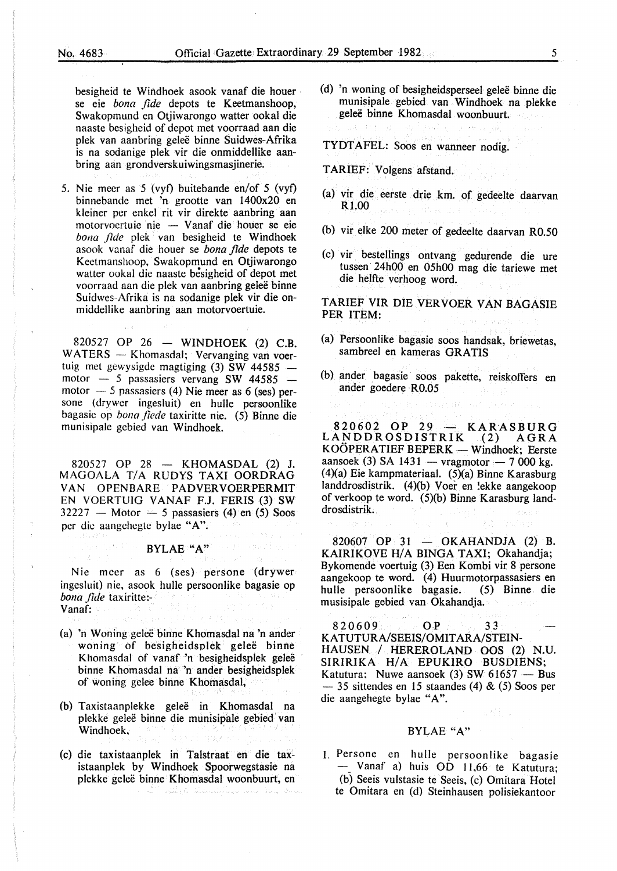besigheid te Windhoek asook vanaf die houer se eie *bona fide* depots te Keetmanshoop, Swakopmund en Otjiwarongo watter ookal die naaste besigheid of depot met voorraad aan die plek van aanbring gelee binne Suidwes-Afrika is na sodanige plek vir die onmiddellike aanbring aan grondverskuiwingsmasjinerie.

5. Nie mecr as 5 (vyf) buitebande en/of 5 (vyf) binnebande met 'n grootte van l400x20 en kleiner per enkel rit vir direkte aanbring aan  $motorvocrtuie nie - Vanaf die houer se eie$ *bona fide* plek van besigheid te Windhoek asook vanaf die houer se *bona fide* depots te Kectmanshoop, Swakopmund en Otjiwarongo watter ookal die naaste besigheid of depot met voorraad aan die plek van aanbring gelee binne Suidwes-Afrika is na sodanige plek vir die onmiddellike aanbring aan motorvoertuie.

820527 OP 26 - WINDHOEK (2) C.B. WATERS - Khomasdal; Vervanging van voertuig met gewysigde magtiging  $(3)$  SW 44585 motor  $-$  5 passasiers vervang SW 44585 motor  $-$  5 passasiers (4) Nie meer as 6 (ses) persone (drywer ingesluit) en hulle persoonlike bagasic op *bona fiede* taxiritte nie. (5) Binne die munisipale gebied van Windhoek.

820527 OP 28 - KHOMASDAL (2) J. MAGOALA T/A RUDYS TAXI OORDRAG VAN OPENBARE PADVERVOERPERMIT EN VOERTUIG VANAF F.J. FERIS (3) SW  $32227$  - Motor  $\div$  5 passasiers (4) en (5) Soos per die aangehegte bylae "A".

#### BYLAE "A"

Nie mcer as 6 (ses) persone (drywer ingesluit) nie, asook hulle persoonlike bagasie op *bona .fide* taxiritte:- Vanaf:

- (a) 'n Woning gelee binne Khomasdal na 'n ander woning of besigheidsplek geleë binne Khomasdal of vanaf 'n besigheidsplek geleë binne Khomasdal na 'n ander besigheidsplek of woning gelee binne Khomasdal,
- (b) Taxistaanplekke gelee in Khomasdal na plekke geleë binne die munisipale gebied van Windhoek,
- (c) die taxistaanplek in Talstraat en die taxistaanplek by Windhoek Spoorwegstasie na plekke gelee binne Khomasdal woonbuurt, en a di Salam Salah Salah Sulawa Sulawa Sulawa Sulawa Sulawa Sulawa Sulawa Sulawa Sulawa Sulawa Sulawa Sulawa Sul<br>Seniora Sulawa Sulawa Sulawa Sulawa Sulawa Sulawa Sulawa Sulawa Sulawa Sulawa Sulawa Sulawa Sulawa Sulawa Sula
- (d) 'n woning of besigheidsperseel gelee binne die munisipale gebied van Windhoek na plekke gelee binne Khomasdal woonbuurt.
- TYDT AFEL: Soos en wanneer nodig.
- TARIEF: Volgens afstand.
- (a) vir die eerste drie km. of gedeelte daarvan Rl.OO
- (b) vir elke 200 meter of gedeelte daarvan R0.50
- (c) vir bestellings ontvang gedurende die ure tussen 24h00 en 05h00 mag die tariewe met die helfte verhoog word.

TARIEF VIR DIE VERVOER VAN BAGASIE PER ITEM:

- (a) Persoonlike bagasie soos handsak, briewetas, sambreel en kameras GRATIS
- (b) ander bagasie soos pakette, reiskoffers en ander goedere R0.05

820602 OP 29 - KARASBURG LANDDROSDISTRIK (2) AGRA  $KOOPERATIEF BEPERK$  - Windhoek: Eerste aansoek (3) SA 1431 - vragmotor - 7 000 kg.  $(4)(a)$  Eie kampmateriaal.  $(5)(a)$  Binne Karasburg landdrosdistrik.  $(4)(b)$  Voer en lekke aangekoop of verkoop te word. (5)(b) Binne Karasburg landdrosdistrik. Die St

 $820607$  OP 31 - OKAHANDJA (2) B. KAIRIKOVE H/A BINGA TAXI; Okahandja; Bykomende voertuig (3) Een Kombi vir 8 persone aangekoop te word. (4) Huurmotorpassasiers en hulle persoonlike bagasie. musisipale gebied van Okahandja.

820609 OP 33 KATUTURA/SEEIS/OMITARA/STEIN-HAUSEN / HEREROLAND OOS (2) N.U. SIRIRIKA H/A EPUKIRO BUSDIENS; Katutura; Nuwe aansoek  $(3)$  SW 61657 - Bus  $-$  35 sittendes en 15 staandes (4) & (5) Soos per die aangehegte bylae "A".

#### BYLAE "A"

I. Persone en hulle persoonlike bagasie - Vanaf a) huis OD 11,66 te Katutura; (b) Seeis vulstasie te Seeis, (c) Omitara Hotel te Omitara en (d) Steinhausen polisiekantoor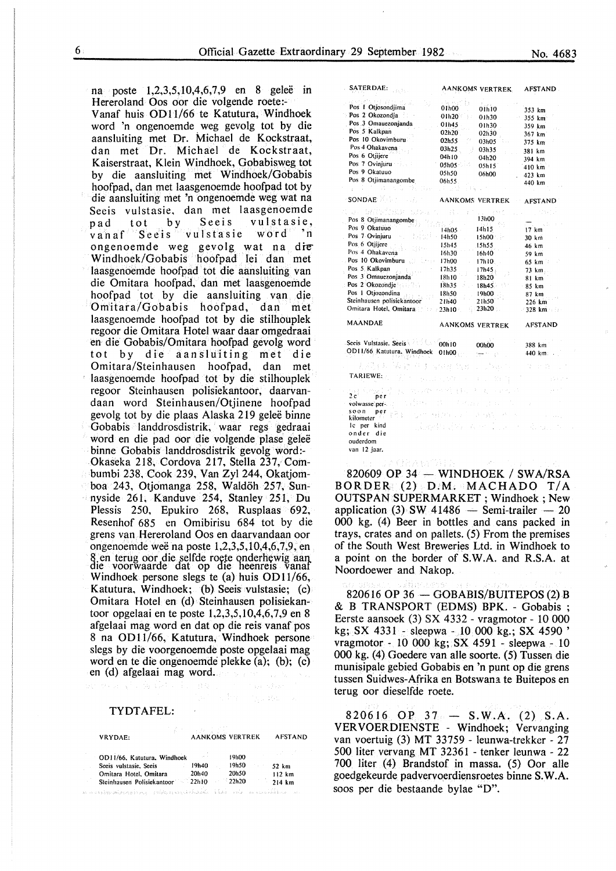na poste 1,2,3,5,10,4,6,7,9 en 8 geleë in

Hereroland Oos oor die volgende roete:- Vanaf huis OD11/66 te Katutura, Windhoek word 'n ongenoemde weg gevolg tot by die aansluiting met Dr. Michael de Kockstraat, dan met Dr. Michael de Kockstraat, Kaiserstraat, Klein Windhoek, Gobabisweg tot by die aansluiting met Windhoek/Gobabis hoofpad, dan met laasgenoemde hoofpad tot by die aansluiting met 'n ongenoemde weg wat na Seeis vulstasie, dan met laasgenoemde<br>pad tot by Seeis vulstasie, pad tot by Seeis vulstasie, vulstasie ongenoemde weg gevolg wat na die" Windhoek/Gobabis hoofpad lei dan met laasgenoemde hoofpad tot die aansluiting van die Omitara hoofpad, dan met laasgenoemde hoofpad tot by die aansluiting van die Omitara/Gobabis hoofpad, dan met laasgenoemde hoofpad tot by die stilhouplek regoor die Omitara Hotel waar daar omgedraai en die Gobabis/Omitara hoofpad gevolg word tot by die aansluiting met die<br>Omitara/Steinhausen hoofpad, dan met Omitara/Steinhausen hoofpad, dan laasgenoemde hoofpad tot by die stilhouplek regoor Steinhausen polisiekantoor, daarvandaan word Steinhausen/Otjinene hoofpad gevolg tot by die plaas Alaska 219 gelee binne Gobabis landdrosdistrik, waar regs gedraai word en die pad oor die volgende plase gelee binne Gobabis landdrosdistrik gevolg word:- Okaseka 218, Cordova 217, Stella 237, Combumbi 238, Cook 239, Van Zyl 244, Okatjomboa 243, Otjomanga 258, Waldoh 257, Sunnyside 261, Kanduve 254, Stanley 251, Du Plessis 250, Epukiro 268, Rusplaas 692, Resenhof 685 en Omibirisu 684 tot by die grens van Hereroland Oos en daarvandaan oor ongenoemde wee na poste 1,2,3,5,10,4,6,7,9, en 8 en terug oor die selfde roete onderhewig aan.<br>die voorwaarde dat op die heenreis vanaf Windhoek persone slegs te (a) huis OD11/66, Katutura, Windhoek; (b) Seeis vulstasie; (c) Omitara Hotel en (d) Steinhausen polisiekantoor opgelaai en te poste 1,2,3,5,10,4,6,7,9 en 8 afgelaai mag word en dat op die reis vanaf pos 8 na OD11/66, Katutura, Windhoek persone slegs by die voorgenoemde poste opgelaai mag word en te die ongenoemde plekke (a); (b); (c) en (d) afgelaai mag word.

#### TYDTAFEL:

| VRYDAE:                                                                                              | <b>AANKOMS VERTREK</b> |                | <b>AFSTAND</b>   |
|------------------------------------------------------------------------------------------------------|------------------------|----------------|------------------|
| OD11/66. Katutura. Windhoek                                                                          | <b>Contractor</b>      | 19h00          |                  |
| Seeis vulstasie, Seeis                                                                               | 19140                  | 19h50          | 52 km            |
| Omitara Hotel, Omitara<br>Steinhausen Polisiekantoor 22h10                                           | 20h40                  | 20h50<br>22h20 | 112 km<br>214 km |
| i station proposition in the station of the proposition of the station of the station of the station |                        |                |                  |

| SATERDAE:                  | <b>AANKOMS VERTREK</b>      | AFSTAND . |
|----------------------------|-----------------------------|-----------|
| Pos I Otjosondjima         | April 1                     |           |
| Pos 2 Okozondja            | 01h00<br>01h10              | 353 km    |
| Pos 3 Omauezonjanda        | 01h20<br>01h30              | 355 km    |
| Pos 5 Kalkpan              | 01h45<br>01h30              | 359 km    |
| Pos 10 Okovimburu          | 02h20<br>02h30<br>02h55     | 367 km    |
| Pos 4 Ohakavena            | 03h05                       | 375 km    |
| Pos 6 Otiliere             | 03h25.<br>03h35<br>04h I 0  | 381 km    |
| Pos 7 Ovinjuru             | 04h20<br>05h05              | 394 km    |
| Pos 9 Okatuuo              | 05h15<br>05h50              | 410 km    |
| Pos 8 Otjimanangombe       | 06h00<br>06h55              | 423 km    |
| ţ                          |                             | 440 km    |
| <b>SONDAE</b>              | AANKOMS VERTREK             | AFSTAND   |
| a. GARSTOLP                |                             |           |
| Pos 8 Otjimanangombe       | 13h00                       |           |
| Pos 9 Okatuuo              | 14h15<br>14h05              | 17 km     |
| Pos 7 Ovinjuru             | 14h50<br>15h00 :            | 30 km     |
| Pos 6 Otjijere             | 15h45<br>15h55              | 46 km     |
| Pos 4 Ohakavena            | 16h30<br>16h40              | 59 km     |
| Pos 10 Okovimburu          | 17h00<br>17h10              | 65 km     |
| Pos 5. Kalkpan             | 17h35<br>17h45              | 73 km     |
| Pos 3 Omauezonjanda        | 18h10<br>18h20              | 81 km     |
| Pos 2 Okozondje            | 18h35<br>18h45.             | 85 km     |
| Pos 1 Otjozondina          | 18h50<br>19h00              | 87 km     |
| Steinhausen polisiekantoor | 21h40<br>21h50 <sup>-</sup> | 226 km    |
| Omitara Hotel, Omitara     | 23h20<br>23h10              | 328 km    |
| <b>MAANDAE</b>             | AANKOMS VERTREK             | AFSTAND   |
| Seeis Vulstasie, Seeis     | 00h10<br>00h00              | 388 km    |
| OD11/66 Katutura, Windhoek | 01h00                       | 440 km:   |
|                            | 일자로 출품                      |           |
| TARIEWE:                   | 机材料 医细胞<br>$\sim 3-10$      |           |
| 2 с:<br>per                | 电雷动                         |           |
| volwasse per-.             |                             |           |
| soon<br>per<br>kilometer   |                             |           |
| le per<br>kind             |                             |           |
| onder die                  |                             |           |
| ouderdom                   |                             |           |
| van 12 jaar.               |                             |           |

820609 OP 34 - WINDHOEK / SWA/RSA BORDER (2) D.M. MACHADO T/A OUTSPAN SUPERMARKET ; Windhoek ; New application (3) SW 41486 - Semi-trailer  $-20$ 000 kg. (4) Beer in bottles and cans packed in trays, crates and on pallets. (5) From the premises of the South West Breweries Lt& in Windhoek to a point on the border of S.W.A. and R.S.A. at Noordoewer and Nakop.

ANG 7

820616 OP 36  $-$  GOBABIS/BUITEPOS (2) B & B TRANSPORT (EDMS) BPK. - Gobabis ; Eerste aansoek (3) SX 4332- vragmotor- 10 000 kg; SX 4331 - sleepwa- 10 000 kg.; SX 4590' vragmotor - 10 000 kg; SX 4591 - sleepwa - 10 000 kg. (4) Goedere van aile soorte. (5) Tussen die munisipale gebied Gobabis en 'n punt op die grens tussen Suidwes-Afrika en Botswana te Buitepos en terug oor dieselfde roete.

820616 OP 37 - S.W.A.  $(2)$  S.A. VERVOERDIENSTE - Windhoek; Vervanging van voertuig (3) MT 33759 - leunwa-trekker - 27 500 liter vervang MT 32361 - tenker leunwa - 22 700 liter (4) Brandstof in massa. (5) Oor aile goedgekeurde padvervoerdiensroetes binne S.W.A. soos per die bestaande bylae "D".

SATERDAE: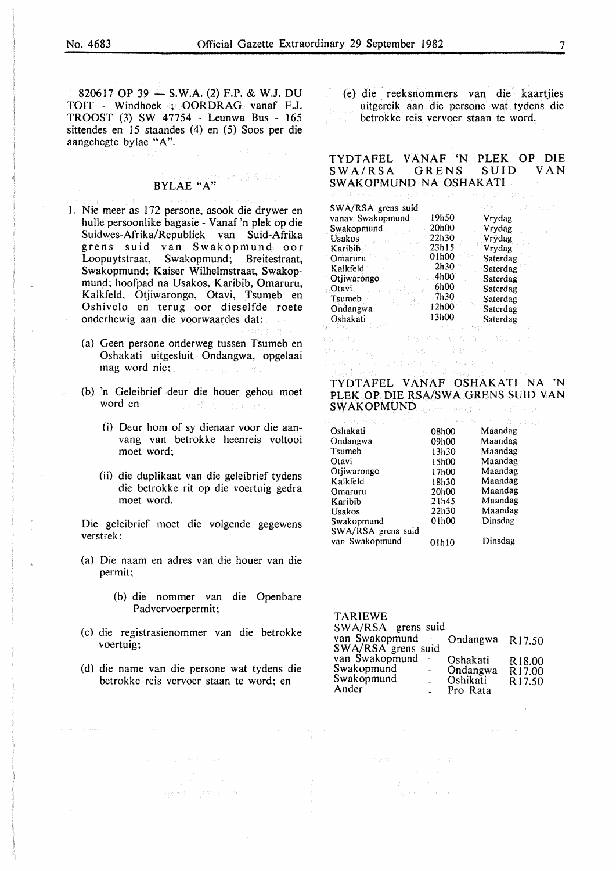$820617$  OP 39 - S.W.A. (2) F.P. & W.J. DU TOIT - Windhoek ; OORDRAG vanaf F.J. TROOST (3) SW 47754 - Leunwa Bus - 165 sittendes en 15 staandes (4) en (5) Soos per die aangehegte bylae "A".

# BYLAE " $A$ " (Fig. 2)

- I. Nie meer as 172 persone, asook die drywer en hulle persoonlike bagasie - Vanaf 'n plek op die Suidwes-Afrika/Republiek van Suid-Afrika grens suid van Swakopmund oor Loopuytstraat, Swakopmund; Breitestraat, Swakopmund; Kaiser Wilhelmstraat, Swakopmund; hoofpad na Usakos, Karibib, Omaruru, Kalkfeld, Otjiwarongo, Otavi, Tsumeb en Oshivelo en terug oor dieselfde roete onderhewig aan die voorwaardes dat:
	- (a) Geen persone onderweg tussen Tsumeb en Oshakati uitgesluit Ondangwa, opgelaai mag word nie;  $\label{eq:2} \chi_{\rm eff} \sim \Omega_{\rm DM} \dot{\vec{J}}_{\rm c} \approx \chi_{\rm c} \sim 200 \Omega_{\rm c}$
	- (b) 'n Geleibrief deur die houer gehou moet word en
		- (i) Deur hom of sy dienaar voor die aanvang van betrokke heenreis voltooi moet word;
		- (ii) die duplikaat van die geleibrief tydens die betrokke rit op die voertuig gedra moet word.

Die geleibrief moet die volgende gegewens verstrek:

- (a) Die naam en adres van die houer van die permit;
	- (b) die nommer van die Openbare Padvervoerpermit;
- (c) die registrasienommer van die betrokke voertuig;
- (d) die name van die persone wat tydens die betrokke reis vervoer staan te word; en

网络神经 人名英格兰姓氏

(e) die reeksnommers van die kaartjies uitgereik aan die persone wat tydens die betrokke reis vervoer staan te word.

### TYDTAFEL VANAF 'N PLEK OP DIE  $SWA/RSA$ SWAKOPMUND NA OSHAKATI

| SWA/RSA grens suid       |               |          |  |
|--------------------------|---------------|----------|--|
| vanav Swakopmund         | 19h50         | Vrydag   |  |
| Swakopmund               | 20h00         | Vrydag   |  |
| <b>Usakos</b><br>y y Ch  | 22h30         | Vrydag   |  |
| Karibib                  | 23h15         | Vrydag   |  |
| 清风的 经<br>Omaruru         | $01h00^\circ$ | Saterdag |  |
| エンド ねんりきょう<br>Kalkfeld   | 2h30          | Saterdag |  |
| Otjiwarongo 4h00         |               | Saterdag |  |
| Otavi<br>dong di wilayay | 6h00          | Saterdag |  |
| Tsumeb<br>나는 정리          | 7h30          | Saterdag |  |
| Ondangwa                 | 12h00         | Saterdag |  |
| Oshakati                 | 13h00         | Saterdag |  |

地同聚会 (4) 网络 医鼻状细胞的 rana sa digistro ambora sa ancidense n

# TYDTAFEL VANAF OSHAKATI NA 'N PLEK OP DIE RSA/SWA GRENS SUID VAN SWAKOPMUND REGISTER TO CONSIDER

| no se provincia de la france |       | ひしけた ほしこ にこぼ |
|------------------------------|-------|--------------|
| Oshakati                     | 08h00 | Maandag      |
| Ondangwa                     | 09h00 | Maandag      |
| Tsumeb                       | 13h30 | Maandag      |
| Otavi                        | 15h00 | Maandag      |
| Otiiwarongo                  | 17h00 | Maandag      |
| Kalkfeld                     | 18h30 | Maandag      |
| Omaruru                      | 20h00 | Maandag      |
| Karibib                      | 21h45 | Maandag      |
| Usakos                       | 22h30 | Maandag      |
| Swakopmund                   | 01h00 | Dinsdag      |
| SWA/RSA grens suid           |       |              |
| van Swakopmund               | 01h10 | Dinsdag      |

| <b>TARIEWE</b>     |               |          |                    |
|--------------------|---------------|----------|--------------------|
| SWA/RSA grens suid |               |          |                    |
| van Swakopmund     |               | Ondangwa | R <sub>17.50</sub> |
| SWA/RSA grens suid |               |          |                    |
| van Swakopmund     |               | Oshakati | R <sub>18.00</sub> |
| Swakopmund         | $\rightarrow$ | Ondangwa | R17.00             |
| Swakopmund         |               | Oshikati | R <sub>17.50</sub> |
| Ander              |               | Pro Rata |                    |